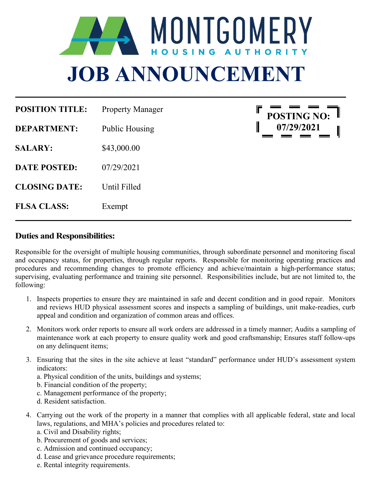

| <b>POSITION TITLE:</b> | <b>Property Manager</b> |
|------------------------|-------------------------|
| <b>DEPARTMENT:</b>     | Public Housing          |
| <b>SALARY:</b>         | \$43,000.00             |
| <b>DATE POSTED:</b>    | 07/29/2021              |
| <b>CLOSING DATE:</b>   | Until Filled            |
| <b>FLSA CLASS:</b>     | Exempt                  |



#### **Duties and Responsibilities:**

Responsible for the oversight of multiple housing communities, through subordinate personnel and monitoring fiscal and occupancy status, for properties, through regular reports. Responsible for monitoring operating practices and procedures and recommending changes to promote efficiency and achieve/maintain a high-performance status; supervising, evaluating performance and training site personnel. Responsibilities include, but are not limited to, the following:

- 1. Inspects properties to ensure they are maintained in safe and decent condition and in good repair. Monitors and reviews HUD physical assessment scores and inspects a sampling of buildings, unit make-readies, curb appeal and condition and organization of common areas and offices.
- 2. Monitors work order reports to ensure all work orders are addressed in a timely manner; Audits a sampling of maintenance work at each property to ensure quality work and good craftsmanship; Ensures staff follow-ups on any delinquent items;
- 3. Ensuring that the sites in the site achieve at least "standard" performance under HUD's assessment system indicators:
	- a. Physical condition of the units, buildings and systems;
	- b. Financial condition of the property;
	- c. Management performance of the property;
	- d. Resident satisfaction.
- 4. Carrying out the work of the property in a manner that complies with all applicable federal, state and local laws, regulations, and MHA's policies and procedures related to:
	- a. Civil and Disability rights;
	- b. Procurement of goods and services;
	- c. Admission and continued occupancy;
	- d. Lease and grievance procedure requirements;
	- e. Rental integrity requirements.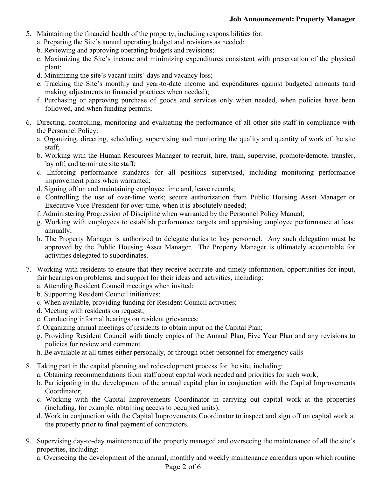- 5. Maintaining the financial health of the property, including responsibilities for:
	- a. Preparing the Site's annual operating budget and revisions as needed;
	- b. Reviewing and approving operating budgets and revisions;
	- c. Maximizing the Site's income and minimizing expenditures consistent with preservation of the physical plant;
	- d. Minimizing the site's vacant units' days and vacancy loss;
	- e. Tracking the Site's monthly and year-to-date income and expenditures against budgeted amounts (and making adjustments to financial practices when needed);
	- f. Purchasing or approving purchase of goods and services only when needed, when policies have been followed, and when funding permits;
- 6. Directing, controlling, monitoring and evaluating the performance of all other site staff in compliance with the Personnel Policy:
	- a. Organizing, directing, scheduling, supervising and monitoring the quality and quantity of work of the site staff;
	- b. Working with the Human Resources Manager to recruit, hire, train, supervise, promote/demote, transfer, lay off, and terminate site staff;
	- c. Enforcing performance standards for all positions supervised, including monitoring performance improvement plans when warranted;
	- d. Signing off on and maintaining employee time and, leave records;
	- e. Controlling the use of over-time work; secure authorization from Public Housing Asset Manager or Executive Vice-President for over-time, when it is absolutely needed;
	- f. Administering Progression of Discipline when warranted by the Personnel Policy Manual;
	- g. Working with employees to establish performance targets and appraising employee performance at least annually;
	- h. The Property Manager is authorized to delegate duties to key personnel. Any such delegation must be approved by the Public Housing Asset Manager. The Property Manager is ultimately accountable for activities delegated to subordinates.
- 7. Working with residents to ensure that they receive accurate and timely information, opportunities for input, fair hearings on problems, and support for their ideas and activities, including:
	- a. Attending Resident Council meetings when invited;
	- b. Supporting Resident Council initiatives;
	- c. When available, providing funding for Resident Council activities;
	- d. Meeting with residents on request;
	- e. Conducting informal hearings on resident grievances;
	- f. Organizing annual meetings of residents to obtain input on the Capital Plan;
	- g. Providing Resident Council with timely copies of the Annual Plan, Five Year Plan and any revisions to policies for review and comment.
	- h. Be available at all times either personally, or through other personnel for emergency calls
- 8. Taking part in the capital planning and redevelopment process for the site, including:
	- a. Obtaining recommendations from staff about capital work needed and priorities for such work;
	- b. Participating in the development of the annual capital plan in conjunction with the Capital Improvements Coordinator;
	- c. Working with the Capital Improvements Coordinator in carrying out capital work at the properties (including, for example, obtaining access to occupied units);
	- d. Work in conjunction with the Capital Improvements Coordinator to inspect and sign off on capital work at the property prior to final payment of contractors.
- 9. Supervising day-to-day maintenance of the property managed and overseeing the maintenance of all the site's properties, including:
	- a. Overseeing the development of the annual, monthly and weekly maintenance calendars upon which routine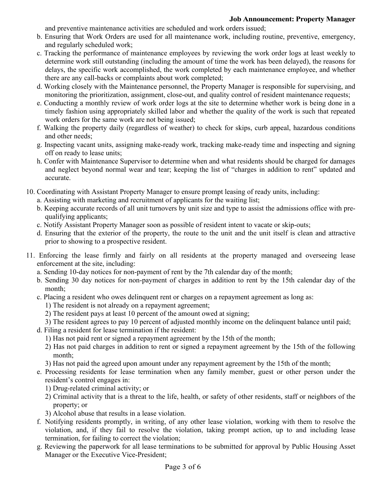#### **Job Announcement: Property Manager**

and preventive maintenance activities are scheduled and work orders issued;

- b. Ensuring that Work Orders are used for all maintenance work, including routine, preventive, emergency, and regularly scheduled work;
- c. Tracking the performance of maintenance employees by reviewing the work order logs at least weekly to determine work still outstanding (including the amount of time the work has been delayed), the reasons for delays, the specific work accomplished, the work completed by each maintenance employee, and whether there are any call-backs or complaints about work completed;
- d. Working closely with the Maintenance personnel, the Property Manager is responsible for supervising, and monitoring the prioritization, assignment, close-out, and quality control of resident maintenance requests;
- e. Conducting a monthly review of work order logs at the site to determine whether work is being done in a timely fashion using appropriately skilled labor and whether the quality of the work is such that repeated work orders for the same work are not being issued;
- f. Walking the property daily (regardless of weather) to check for skips, curb appeal, hazardous conditions and other needs;
- g. Inspecting vacant units, assigning make-ready work, tracking make-ready time and inspecting and signing off on ready to lease units;
- h. Confer with Maintenance Supervisor to determine when and what residents should be charged for damages and neglect beyond normal wear and tear; keeping the list of "charges in addition to rent" updated and accurate.
- 10. Coordinating with Assistant Property Manager to ensure prompt leasing of ready units, including:
	- a. Assisting with marketing and recruitment of applicants for the waiting list;
	- b. Keeping accurate records of all unit turnovers by unit size and type to assist the admissions office with prequalifying applicants;
	- c. Notify Assistant Property Manager soon as possible of resident intent to vacate or skip-outs;
	- d. Ensuring that the exterior of the property, the route to the unit and the unit itself is clean and attractive prior to showing to a prospective resident.
- 11. Enforcing the lease firmly and fairly on all residents at the property managed and overseeing lease enforcement at the site, including:
	- a. Sending 10-day notices for non-payment of rent by the 7th calendar day of the month;
	- b. Sending 30 day notices for non-payment of charges in addition to rent by the 15th calendar day of the month;
	- c. Placing a resident who owes delinquent rent or charges on a repayment agreement as long as:
		- 1) The resident is not already on a repayment agreement;
		- 2) The resident pays at least 10 percent of the amount owed at signing;
		- 3) The resident agrees to pay 10 percent of adjusted monthly income on the delinquent balance until paid;
	- d. Filing a resident for lease termination if the resident:
		- 1) Has not paid rent or signed a repayment agreement by the 15th of the month;
		- 2) Has not paid charges in addition to rent or signed a repayment agreement by the 15th of the following month;
		- 3) Has not paid the agreed upon amount under any repayment agreement by the 15th of the month;
	- e. Processing residents for lease termination when any family member, guest or other person under the resident's control engages in:
		- 1) Drug-related criminal activity; or
		- 2) Criminal activity that is a threat to the life, health, or safety of other residents, staff or neighbors of the property; or
		- 3) Alcohol abuse that results in a lease violation.
	- f. Notifying residents promptly, in writing, of any other lease violation, working with them to resolve the violation, and, if they fail to resolve the violation, taking prompt action, up to and including lease termination, for failing to correct the violation;
	- g. Reviewing the paperwork for all lease terminations to be submitted for approval by Public Housing Asset Manager or the Executive Vice-President;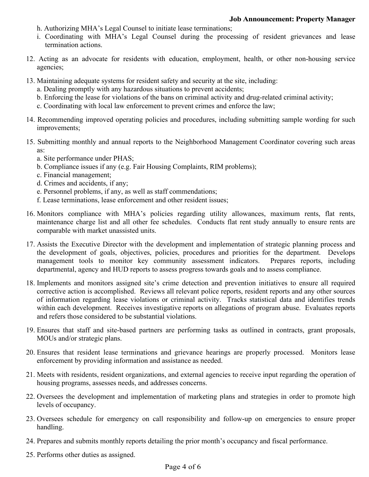- h. Authorizing MHA's Legal Counsel to initiate lease terminations;
- i. Coordinating with MHA's Legal Counsel during the processing of resident grievances and lease termination actions.
- 12. Acting as an advocate for residents with education, employment, health, or other non-housing service agencies;
- 13. Maintaining adequate systems for resident safety and security at the site, including:
	- a. Dealing promptly with any hazardous situations to prevent accidents;
	- b. Enforcing the lease for violations of the bans on criminal activity and drug-related criminal activity;
	- c. Coordinating with local law enforcement to prevent crimes and enforce the law;
- 14. Recommending improved operating policies and procedures, including submitting sample wording for such improvements;
- 15. Submitting monthly and annual reports to the Neighborhood Management Coordinator covering such areas as:
	- a. Site performance under PHAS;
	- b. Compliance issues if any (e.g. Fair Housing Complaints, RIM problems);
	- c. Financial management;
	- d. Crimes and accidents, if any;
	- e. Personnel problems, if any, as well as staff commendations;
	- f. Lease terminations, lease enforcement and other resident issues;
- 16. Monitors compliance with MHA's policies regarding utility allowances, maximum rents, flat rents, maintenance charge list and all other fee schedules. Conducts flat rent study annually to ensure rents are comparable with market unassisted units.
- 17. Assists the Executive Director with the development and implementation of strategic planning process and the development of goals, objectives, policies, procedures and priorities for the department. Develops management tools to monitor key community assessment indicators. Prepares reports, including departmental, agency and HUD reports to assess progress towards goals and to assess compliance.
- 18. Implements and monitors assigned site's crime detection and prevention initiatives to ensure all required corrective action is accomplished. Reviews all relevant police reports, resident reports and any other sources of information regarding lease violations or criminal activity. Tracks statistical data and identifies trends within each development. Receives investigative reports on allegations of program abuse. Evaluates reports and refers those considered to be substantial violations.
- 19. Ensures that staff and site-based partners are performing tasks as outlined in contracts, grant proposals, MOUs and/or strategic plans.
- 20. Ensures that resident lease terminations and grievance hearings are properly processed. Monitors lease enforcement by providing information and assistance as needed.
- 21. Meets with residents, resident organizations, and external agencies to receive input regarding the operation of housing programs, assesses needs, and addresses concerns.
- 22. Oversees the development and implementation of marketing plans and strategies in order to promote high levels of occupancy.
- 23. Oversees schedule for emergency on call responsibility and follow-up on emergencies to ensure proper handling.
- 24. Prepares and submits monthly reports detailing the prior month's occupancy and fiscal performance.
- 25. Performs other duties as assigned.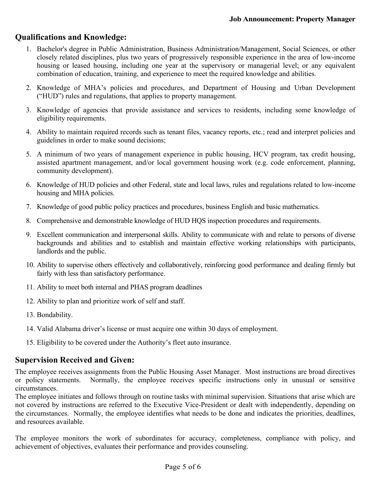# **Qualifications and Knowledge:**

- 1. Bachelor's degree in Public Administration, Business Administration/Management, Social Sciences, or other closely related disciplines, plus two years of progressively responsible experience in the area of low-income housing or leased housing, including one year at the supervisory or managerial level; or any equivalent combination of education, training, and experience to meet the required knowledge and abilities.
- 2. Knowledge of MHA's policies and procedures, and Department of Housing and Urban Development ("HUD") rules and regulations, that applies to property management.
- 3. Knowledge of agencies that provide assistance and services to residents, including some knowledge of eligibility requirements.
- 4. Ability to maintain required records such as tenant files, vacancy reports, etc.; read and interpret policies and guidelines in order to make sound decisions;
- 5. A minimum of two years of management experience in public housing, HCV program, tax credit housing, assisted apartment management, and/or local government housing work (e.g. code enforcement, planning, community development).
- 6. Knowledge of HUD policies and other Federal, state and local laws, rules and regulations related to low-income housing and MHA policies.
- 7. Knowledge of good public policy practices and procedures, business English and basic mathematics.
- 8. Comprehensive and demonstrable knowledge of HUD HQS inspection procedures and requirements.
- 9. Excellent communication and interpersonal skills. Ability to communicate with and relate to persons of diverse backgrounds and abilities and to establish and maintain effective working relationships with participants, landlords and the public.
- 10. Ability to supervise others effectively and collaboratively, reinforcing good performance and dealing firmly but fairly with less than satisfactory performance.
- 11. Ability to meet both internal and PHAS program deadlines
- 12. Ability to plan and prioritize work of self and staff.
- 13. Bondability.
- 14. Valid Alabama driver's license or must acquire one within 30 days of employment.
- 15. Eligibility to be covered under the Authority's fleet auto insurance.

## **Supervision Received and Given:**

The employee receives assignments from the Public Housing Asset Manager. Most instructions are broad directives or policy statements. Normally, the employee receives specific instructions only in unusual or sensitive circumstances.

The employee initiates and follows through on routine tasks with minimal supervision. Situations that arise which are not covered by instructions are referred to the Executive Vice-President or dealt with independently, depending on the circumstances. Normally, the employee identifies what needs to be done and indicates the priorities, deadlines, and resources available.

The employee monitors the work of subordinates for accuracy, completeness, compliance with policy, and achievement of objectives, evaluates their performance and provides counseling.